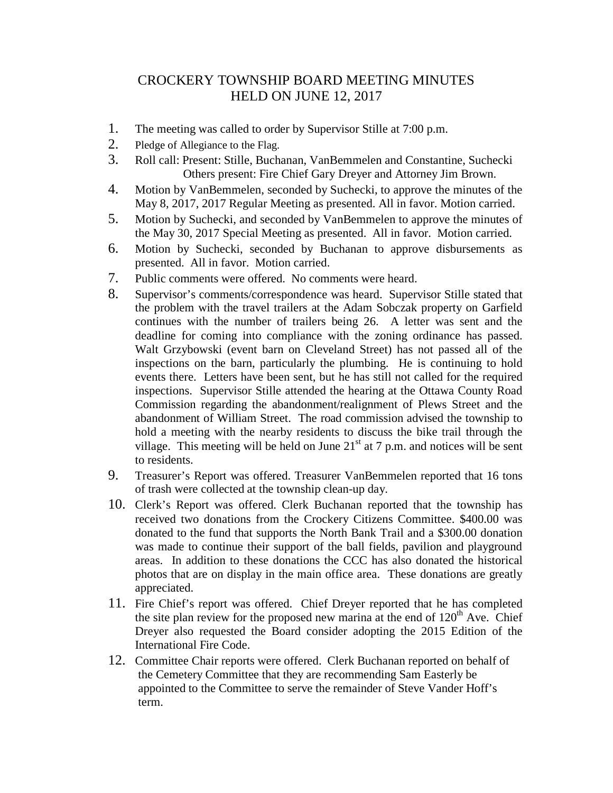## CROCKERY TOWNSHIP BOARD MEETING MINUTES HELD ON JUNE 12, 2017

- 1. The meeting was called to order by Supervisor Stille at 7:00 p.m.
- 2. Pledge of Allegiance to the Flag.
- 3. Roll call: Present: Stille, Buchanan, VanBemmelen and Constantine, Suchecki Others present: Fire Chief Gary Dreyer and Attorney Jim Brown.
- 4. Motion by VanBemmelen, seconded by Suchecki, to approve the minutes of the May 8, 2017, 2017 Regular Meeting as presented. All in favor. Motion carried.
- 5. Motion by Suchecki, and seconded by VanBemmelen to approve the minutes of the May 30, 2017 Special Meeting as presented. All in favor. Motion carried.
- 6. Motion by Suchecki, seconded by Buchanan to approve disbursements as presented. All in favor. Motion carried.
- 7. Public comments were offered. No comments were heard.
- 8. Supervisor's comments/correspondence was heard. Supervisor Stille stated that the problem with the travel trailers at the Adam Sobczak property on Garfield continues with the number of trailers being 26. A letter was sent and the deadline for coming into compliance with the zoning ordinance has passed. Walt Grzybowski (event barn on Cleveland Street) has not passed all of the inspections on the barn, particularly the plumbing. He is continuing to hold events there. Letters have been sent, but he has still not called for the required inspections. Supervisor Stille attended the hearing at the Ottawa County Road Commission regarding the abandonment/realignment of Plews Street and the abandonment of William Street. The road commission advised the township to hold a meeting with the nearby residents to discuss the bike trail through the village. This meeting will be held on June  $21<sup>st</sup>$  at 7 p.m. and notices will be sent to residents.
- 9. Treasurer's Report was offered. Treasurer VanBemmelen reported that 16 tons of trash were collected at the township clean-up day.
- 10. Clerk's Report was offered. Clerk Buchanan reported that the township has received two donations from the Crockery Citizens Committee. \$400.00 was donated to the fund that supports the North Bank Trail and a \$300.00 donation was made to continue their support of the ball fields, pavilion and playground areas. In addition to these donations the CCC has also donated the historical photos that are on display in the main office area. These donations are greatly appreciated.
- 11. Fire Chief's report was offered. Chief Dreyer reported that he has completed the site plan review for the proposed new marina at the end of  $120<sup>th</sup>$  Ave. Chief Dreyer also requested the Board consider adopting the 2015 Edition of the International Fire Code.
- 12. Committee Chair reports were offered. Clerk Buchanan reported on behalf of the Cemetery Committee that they are recommending Sam Easterly be appointed to the Committee to serve the remainder of Steve Vander Hoff's term.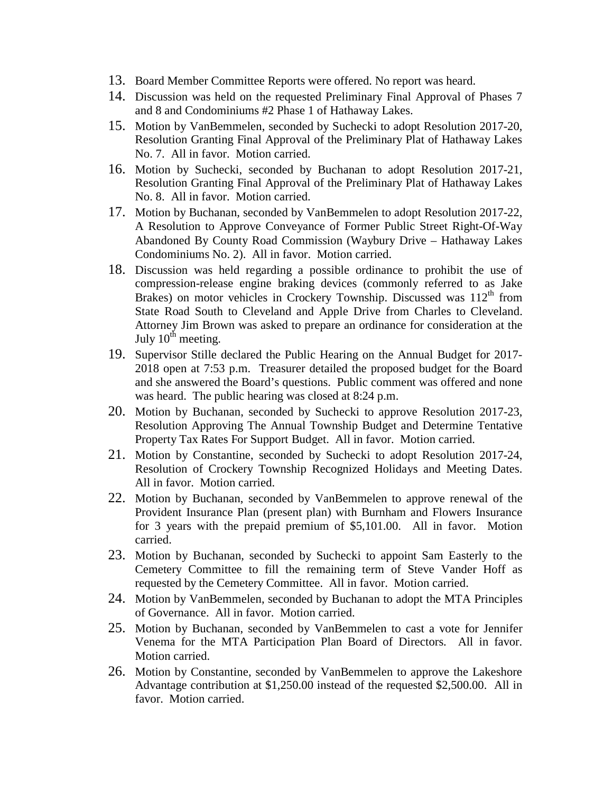- 13. Board Member Committee Reports were offered. No report was heard.
- 14. Discussion was held on the requested Preliminary Final Approval of Phases 7 and 8 and Condominiums #2 Phase 1 of Hathaway Lakes.
- 15. Motion by VanBemmelen, seconded by Suchecki to adopt Resolution 2017-20, Resolution Granting Final Approval of the Preliminary Plat of Hathaway Lakes No. 7. All in favor. Motion carried.
- 16. Motion by Suchecki, seconded by Buchanan to adopt Resolution 2017-21, Resolution Granting Final Approval of the Preliminary Plat of Hathaway Lakes No. 8. All in favor. Motion carried.
- 17. Motion by Buchanan, seconded by VanBemmelen to adopt Resolution 2017-22, A Resolution to Approve Conveyance of Former Public Street Right-Of-Way Abandoned By County Road Commission (Waybury Drive – Hathaway Lakes Condominiums No. 2). All in favor. Motion carried.
- 18. Discussion was held regarding a possible ordinance to prohibit the use of compression-release engine braking devices (commonly referred to as Jake Brakes) on motor vehicles in Crockery Township. Discussed was  $112<sup>th</sup>$  from State Road South to Cleveland and Apple Drive from Charles to Cleveland. Attorney Jim Brown was asked to prepare an ordinance for consideration at the July  $10^{th}$  meeting.
- 19. Supervisor Stille declared the Public Hearing on the Annual Budget for 2017- 2018 open at 7:53 p.m. Treasurer detailed the proposed budget for the Board and she answered the Board's questions. Public comment was offered and none was heard. The public hearing was closed at 8:24 p.m.
- 20. Motion by Buchanan, seconded by Suchecki to approve Resolution 2017-23, Resolution Approving The Annual Township Budget and Determine Tentative Property Tax Rates For Support Budget. All in favor. Motion carried.
- 21. Motion by Constantine, seconded by Suchecki to adopt Resolution 2017-24, Resolution of Crockery Township Recognized Holidays and Meeting Dates. All in favor. Motion carried.
- 22. Motion by Buchanan, seconded by VanBemmelen to approve renewal of the Provident Insurance Plan (present plan) with Burnham and Flowers Insurance for 3 years with the prepaid premium of \$5,101.00. All in favor. Motion carried.
- 23. Motion by Buchanan, seconded by Suchecki to appoint Sam Easterly to the Cemetery Committee to fill the remaining term of Steve Vander Hoff as requested by the Cemetery Committee. All in favor. Motion carried.
- 24. Motion by VanBemmelen, seconded by Buchanan to adopt the MTA Principles of Governance. All in favor. Motion carried.
- 25. Motion by Buchanan, seconded by VanBemmelen to cast a vote for Jennifer Venema for the MTA Participation Plan Board of Directors. All in favor. Motion carried.
- 26. Motion by Constantine, seconded by VanBemmelen to approve the Lakeshore Advantage contribution at \$1,250.00 instead of the requested \$2,500.00. All in favor. Motion carried.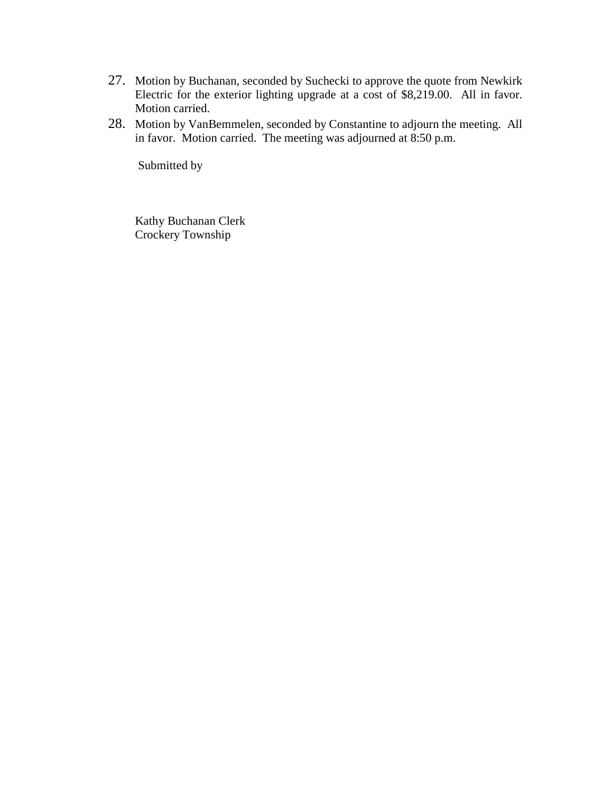- 27. Motion by Buchanan, seconded by Suchecki to approve the quote from Newkirk Electric for the exterior lighting upgrade at a cost of \$8,219.00. All in favor. Motion carried.
- 28. Motion by VanBemmelen, seconded by Constantine to adjourn the meeting. All in favor. Motion carried. The meeting was adjourned at 8:50 p.m.

Submitted by

 Kathy Buchanan Clerk Crockery Township